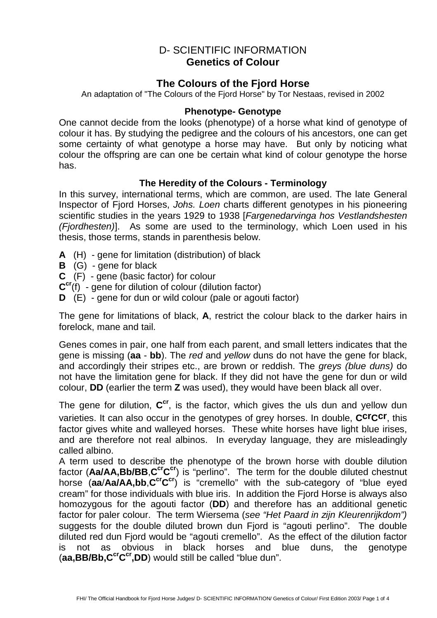# D- SCIENTIFIC INFORMATION **Genetics of Colour**

# **The Colours of the Fjord Horse**

An adaptation of "The Colours of the Fjord Horse" by Tor Nestaas, revised in 2002

#### **Phenotype- Genotype**

One cannot decide from the looks (phenotype) of a horse what kind of genotype of colour it has. By studying the pedigree and the colours of his ancestors, one can get some certainty of what genotype a horse may have. But only by noticing what colour the offspring are can one be certain what kind of colour genotype the horse has.

### **The Heredity of the Colours - Terminology**

In this survey, international terms, which are common, are used. The late General Inspector of Fjord Horses, Johs. Loen charts different genotypes in his pioneering scientific studies in the years 1929 to 1938 [Fargenedarvinga hos Vestlandshesten (Fjordhesten)]. As some are used to the terminology, which Loen used in his thesis, those terms, stands in parenthesis below.

- **A** (H) gene for limitation (distribution) of black
- **B** (G) gene for black
- **C** (F) gene (basic factor) for colour
- **C cr**(f) gene for dilution of colour (dilution factor)
- **D** (E) gene for dun or wild colour (pale or agouti factor)

The gene for limitations of black, **A**, restrict the colour black to the darker hairs in forelock, mane and tail.

Genes comes in pair, one half from each parent, and small letters indicates that the gene is missing (**aa** - **bb**). The red and yellow duns do not have the gene for black, and accordingly their stripes etc., are brown or reddish. The greys (blue duns) do not have the limitation gene for black. If they did not have the gene for dun or wild colour, **DD** (earlier the term **Z** was used), they would have been black all over.

The gene for dilution, **C cr**, is the factor, which gives the uls dun and yellow dun varieties. It can also occur in the genotypes of grey horses. In double, **CcrCcr**, this factor gives white and walleyed horses. These white horses have light blue irises, and are therefore not real albinos. In everyday language, they are misleadingly called albino.

A term used to describe the phenotype of the brown horse with double dilution factor (**Aa/AA,Bb/BB**,**C crC cr**) is "perlino". The term for the double diluted chestnut horse (**aa**/**Aa/AA,bb**,**C crC cr**) is "cremello" with the sub-category of "blue eyed cream" for those individuals with blue iris. In addition the Fjord Horse is always also homozygous for the agouti factor (**DD**) and therefore has an additional genetic factor for paler colour. The term Wiersema (see "Het Paard in zijn Kleurenrijkdom") suggests for the double diluted brown dun Fjord is "agouti perlino". The double diluted red dun Fjord would be "agouti cremello". As the effect of the dilution factor is not as obvious in black horses and blue duns, the genotype (**aa,BB/Bb,CcrC cr,DD**) would still be called "blue dun".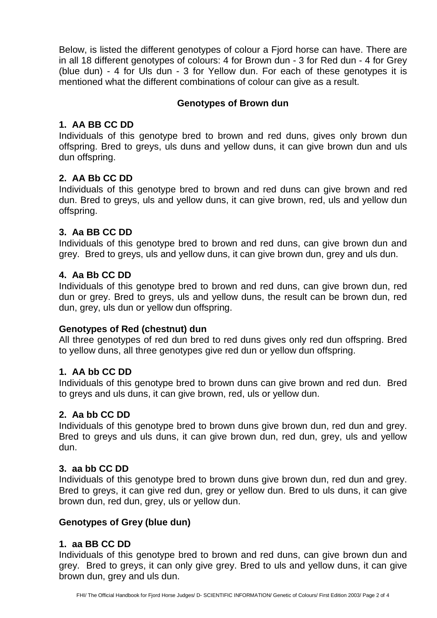Below, is listed the different genotypes of colour a Fjord horse can have. There are in all 18 different genotypes of colours: 4 for Brown dun - 3 for Red dun - 4 for Grey (blue dun) - 4 for Uls dun - 3 for Yellow dun. For each of these genotypes it is mentioned what the different combinations of colour can give as a result.

### **Genotypes of Brown dun**

## **1. AA BB CC DD**

Individuals of this genotype bred to brown and red duns, gives only brown dun offspring. Bred to greys, uls duns and yellow duns, it can give brown dun and uls dun offspring.

## **2. AA Bb CC DD**

Individuals of this genotype bred to brown and red duns can give brown and red dun. Bred to greys, uls and yellow duns, it can give brown, red, uls and yellow dun offspring.

## **3. Aa BB CC DD**

Individuals of this genotype bred to brown and red duns, can give brown dun and grey. Bred to greys, uls and yellow duns, it can give brown dun, grey and uls dun.

## **4. Aa Bb CC DD**

Individuals of this genotype bred to brown and red duns, can give brown dun, red dun or grey. Bred to greys, uls and yellow duns, the result can be brown dun, red dun, grey, uls dun or yellow dun offspring.

### **Genotypes of Red (chestnut) dun**

All three genotypes of red dun bred to red duns gives only red dun offspring. Bred to yellow duns, all three genotypes give red dun or yellow dun offspring.

## **1. AA bb CC DD**

Individuals of this genotype bred to brown duns can give brown and red dun. Bred to greys and uls duns, it can give brown, red, uls or yellow dun.

### **2. Aa bb CC DD**

Individuals of this genotype bred to brown duns give brown dun, red dun and grey. Bred to greys and uls duns, it can give brown dun, red dun, grey, uls and yellow dun.

### **3. aa bb CC DD**

Individuals of this genotype bred to brown duns give brown dun, red dun and grey. Bred to greys, it can give red dun, grey or yellow dun. Bred to uls duns, it can give brown dun, red dun, grey, uls or yellow dun.

### **Genotypes of Grey (blue dun)**

## **1. aa BB CC DD**

Individuals of this genotype bred to brown and red duns, can give brown dun and grey. Bred to greys, it can only give grey. Bred to uls and yellow duns, it can give brown dun, grey and uls dun.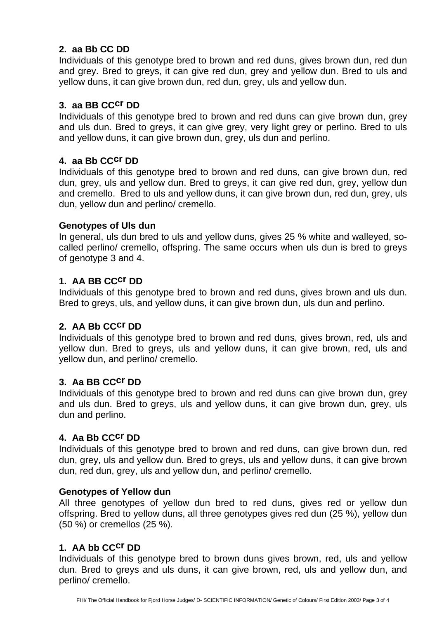## **2. aa Bb CC DD**

Individuals of this genotype bred to brown and red duns, gives brown dun, red dun and grey. Bred to greys, it can give red dun, grey and yellow dun. Bred to uls and yellow duns, it can give brown dun, red dun, grey, uls and yellow dun.

### **3. aa BB CCcr DD**

Individuals of this genotype bred to brown and red duns can give brown dun, grey and uls dun. Bred to greys, it can give grey, very light grey or perlino. Bred to uls and yellow duns, it can give brown dun, grey, uls dun and perlino.

## **4. aa Bb CCcr DD**

Individuals of this genotype bred to brown and red duns, can give brown dun, red dun, grey, uls and yellow dun. Bred to greys, it can give red dun, grey, yellow dun and cremello. Bred to uls and yellow duns, it can give brown dun, red dun, grey, uls dun, yellow dun and perlino/ cremello.

### **Genotypes of Uls dun**

In general, uls dun bred to uls and yellow duns, gives 25 % white and walleyed, socalled perlino/ cremello, offspring. The same occurs when uls dun is bred to greys of genotype 3 and 4.

## **1. AA BB CCcr DD**

Individuals of this genotype bred to brown and red duns, gives brown and uls dun. Bred to greys, uls, and yellow duns, it can give brown dun, uls dun and perlino.

### **2. AA Bb CCcr DD**

Individuals of this genotype bred to brown and red duns, gives brown, red, uls and yellow dun. Bred to greys, uls and yellow duns, it can give brown, red, uls and yellow dun, and perlino/ cremello.

### **3. Aa BB CCcr DD**

Individuals of this genotype bred to brown and red duns can give brown dun, grey and uls dun. Bred to greys, uls and yellow duns, it can give brown dun, grey, uls dun and perlino.

### **4. Aa Bb CCcr DD**

Individuals of this genotype bred to brown and red duns, can give brown dun, red dun, grey, uls and yellow dun. Bred to greys, uls and yellow duns, it can give brown dun, red dun, grey, uls and yellow dun, and perlino/ cremello.

## **Genotypes of Yellow dun**

All three genotypes of yellow dun bred to red duns, gives red or yellow dun offspring. Bred to yellow duns, all three genotypes gives red dun (25 %), yellow dun (50 %) or cremellos (25 %).

### **1. AA bb CCcr DD**

Individuals of this genotype bred to brown duns gives brown, red, uls and yellow dun. Bred to greys and uls duns, it can give brown, red, uls and yellow dun, and perlino/ cremello.